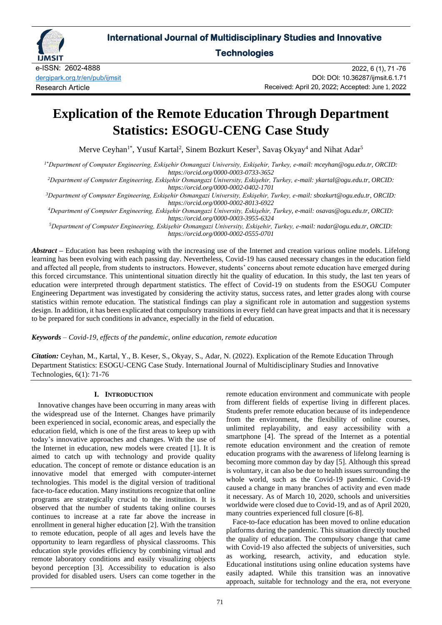

# **International Journal of Multidisciplinary Studies and Innovative**

**Technologies** 

e-ISSN: 2602-4888 [dergipark.org.tr/en/pub/ijmsit](https://dergipark.org.tr/en/pub/ijmsit) Research Article

2022, 6 (1), 71 -76 DOI: DOI: 10.36287/ijmsit.6.1.71 Received: April 20, 2022; Accepted: June 1, 2022

# **Explication of the Remote Education Through Department Statistics: ESOGU-CENG Case Study**

Merve Ceyhan<sup>1\*</sup>, Yusuf Kartal<sup>2</sup>, Sinem Bozkurt Keser<sup>3</sup>, Savaş Okyay<sup>4</sup> and Nihat Adar<sup>5</sup>

*1\*Department of Computer Engineering, Eskişehir Osmangazi University, Eskişehir, Turkey, e-mail: mceyhan@ogu.edu.tr, ORCID: https://orcid.org/0000-0003-0733-3652*

*<sup>2</sup>Department of Computer Engineering, Eskişehir Osmangazi University, Eskişehir, Turkey, e-mail: ykartal@ogu.edu.tr, ORCID: https://orcid.org/0000-0002-0402-1701*

*<sup>3</sup>Department of Computer Engineering, Eskişehir Osmangazi University, Eskişehir, Turkey, e-mail: sbozkurt@ogu.edu.tr, ORCID: https://orcid.org/0000-0002-8013-6922*

*<sup>4</sup>Department of Computer Engineering, Eskişehir Osmangazi University, Eskişehir, Turkey, e-mail: osavas@ogu.edu.tr, ORCID: https://orcid.org/0000-0003-3955-6324*

*<sup>5</sup>Department of Computer Engineering, Eskişehir Osmangazi University, Eskişehir, Turkey, e-mail: nadar@ogu.edu.tr, ORCID: https://orcid.org/0000-0002-0555-0701*

*Abstract –* Education has been reshaping with the increasing use of the Internet and creation various online models. Lifelong learning has been evolving with each passing day. Nevertheless, Covid-19 has caused necessary changes in the education field and affected all people, from students to instructors. However, students' concerns about remote education have emerged during this forced circumstance. This unintentional situation directly hit the quality of education. In this study, the last ten years of education were interpreted through department statistics. The effect of Covid-19 on students from the ESOGU Computer Engineering Department was investigated by considering the activity status, success rates, and letter grades along with course statistics within remote education. The statistical findings can play a significant role in automation and suggestion systems design. In addition, it has been explicated that compulsory transitions in every field can have great impacts and that it is necessary to be prepared for such conditions in advance, especially in the field of education.

*Keywords – Covid-19, effects of the pandemic, online education, remote education*

*Citation:* Ceyhan, M., Kartal, Y., B. Keser, S., Okyay, S., Adar, N. (2022). Explication of the Remote Education Through Department Statistics: ESOGU-CENG Case Study. International Journal of Multidisciplinary Studies and Innovative Technologies, 6(1): 71-76

# **I. INTRODUCTION**

Innovative changes have been occurring in many areas with the widespread use of the Internet. Changes have primarily been experienced in social, economic areas, and especially the education field, which is one of the first areas to keep up with today's innovative approaches and changes. With the use of the Internet in education, new models were created [1]. It is aimed to catch up with technology and provide quality education. The concept of remote or distance education is an innovative model that emerged with computer-internet technologies. This model is the digital version of traditional face-to-face education. Many institutions recognize that online programs are strategically crucial to the institution. It is observed that the number of students taking online courses continues to increase at a rate far above the increase in enrollment in general higher education [2]. With the transition to remote education, people of all ages and levels have the opportunity to learn regardless of physical classrooms. This education style provides efficiency by combining virtual and remote laboratory conditions and easily visualizing objects beyond perception [3]. Accessibility to education is also provided for disabled users. Users can come together in the

remote education environment and communicate with people from different fields of expertise living in different places. Students prefer remote education because of its independence from the environment, the flexibility of online courses, unlimited replayability, and easy accessibility with a smartphone [4]. The spread of the Internet as a potential remote education environment and the creation of remote education programs with the awareness of lifelong learning is becoming more common day by day [5]. Although this spread is voluntary, it can also be due to health issues surrounding the whole world, such as the Covid-19 pandemic. Covid-19 caused a change in many branches of activity and even made it necessary. As of March 10, 2020, schools and universities worldwide were closed due to Covid-19, and as of April 2020, many countries experienced full closure [6-8].

Face-to-face education has been moved to online education platforms during the pandemic. This situation directly touched the quality of education. The compulsory change that came with Covid-19 also affected the subjects of universities, such as working, research, activity, and education style. Educational institutions using online education systems have easily adapted. While this transition was an innovative approach, suitable for technology and the era, not everyone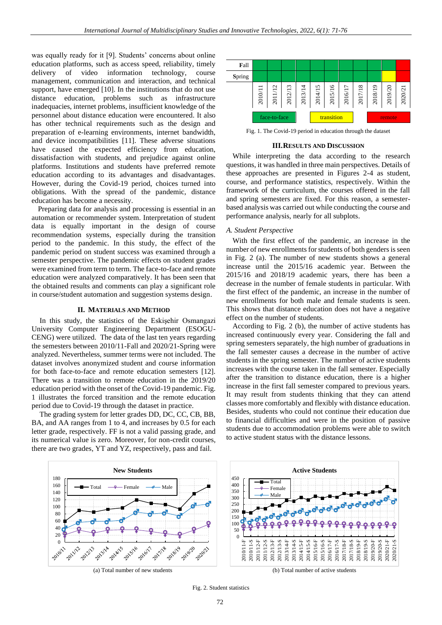was equally ready for it [9]. Students' concerns about online education platforms, such as access speed, reliability, timely delivery of video information technology, course management, communication and interaction, and technical support, have emerged [10]. In the institutions that do not use distance education, problems such as infrastructure inadequacies, internet problems, insufficient knowledge of the personnel about distance education were encountered. It also has other technical requirements such as the design and preparation of e-learning environments, internet bandwidth, and device incompatibilities [11]. These adverse situations have caused the expected efficiency from education, dissatisfaction with students, and prejudice against online platforms. Institutions and students have preferred remote education according to its advantages and disadvantages. However, during the Covid-19 period, choices turned into obligations. With the spread of the pandemic, distance education has become a necessity.

Preparing data for analysis and processing is essential in an automation or recommender system. Interpretation of student data is equally important in the design of course recommendation systems, especially during the transition period to the pandemic. In this study, the effect of the pandemic period on student success was examined through a semester perspective. The pandemic effects on student grades were examined from term to term. The face-to-face and remote education were analyzed comparatively. It has been seen that the obtained results and comments can play a significant role in course/student automation and suggestion systems design.

#### **II. MATERIALS AND METHOD**

In this study, the statistics of the Eskişehir Osmangazi University Computer Engineering Department (ESOGU-CENG) were utilized. The data of the last ten years regarding the semesters between 2010/11-Fall and 2020/21-Spring were analyzed. Nevertheless, summer terms were not included. The dataset involves anonymized student and course information for both face-to-face and remote education semesters [12]. There was a transition to remote education in the 2019/20 education period with the onset of the Covid-19 pandemic. Fig. 1 illustrates the forced transition and the remote education period due to Covid-19 through the dataset in practice.

The grading system for letter grades DD, DC, CC, CB, BB, BA, and AA ranges from 1 to 4, and increases by 0.5 for each letter grade, respectively. FF is not a valid passing grade, and its numerical value is zero. Moreover, for non-credit courses, there are two grades, YT and YZ, respectively, pass and fail.



Fig. 1. The Covid-19 period in education through the dataset

#### **III.RESULTS AND DISCUSSION**

While interpreting the data according to the research questions, it was handled in three main perspectives. Details of these approaches are presented in Figures 2-4 as student, course, and performance statistics, respectively. Within the framework of the curriculum, the courses offered in the fall and spring semesters are fixed. For this reason, a semesterbased analysis was carried out while conducting the course and performance analysis, nearly for all subplots.

#### *A. Student Perspective*

With the first effect of the pandemic, an increase in the number of new enrollments for students of both genders is seen in Fig. 2 (a). The number of new students shows a general increase until the 2015/16 academic year. Between the 2015/16 and 2018/19 academic years, there has been a decrease in the number of female students in particular. With the first effect of the pandemic, an increase in the number of new enrollments for both male and female students is seen. This shows that distance education does not have a negative effect on the number of students.

According to Fig. 2 (b), the number of active students has increased continuously every year. Considering the fall and spring semesters separately, the high number of graduations in the fall semester causes a decrease in the number of active students in the spring semester. The number of active students increases with the course taken in the fall semester. Especially after the transition to distance education, there is a higher increase in the first fall semester compared to previous years. It may result from students thinking that they can attend classes more comfortably and flexibly with distance education. Besides, students who could not continue their education due to financial difficulties and were in the position of passive students due to accommodation problems were able to switch to active student status with the distance lessons.

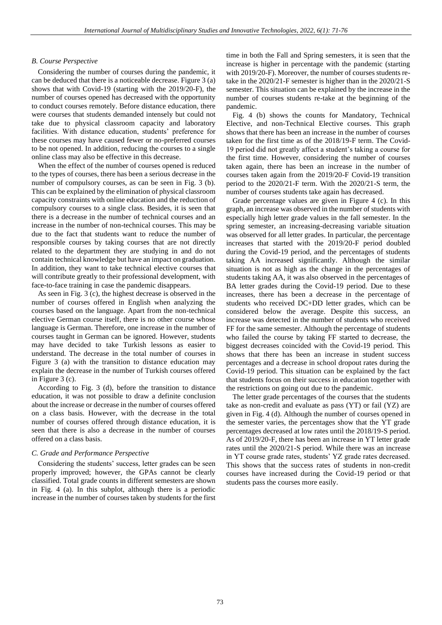# *B. Course Perspective*

Considering the number of courses during the pandemic, it can be deduced that there is a noticeable decrease. Figure 3 (a) shows that with Covid-19 (starting with the 2019/20-F), the number of courses opened has decreased with the opportunity to conduct courses remotely. Before distance education, there were courses that students demanded intensely but could not take due to physical classroom capacity and laboratory facilities. With distance education, students' preference for these courses may have caused fewer or no-preferred courses to be not opened. In addition, reducing the courses to a single online class may also be effective in this decrease.

When the effect of the number of courses opened is reduced to the types of courses, there has been a serious decrease in the number of compulsory courses, as can be seen in Fig. 3 (b). This can be explained by the elimination of physical classroom capacity constraints with online education and the reduction of compulsory courses to a single class. Besides, it is seen that there is a decrease in the number of technical courses and an increase in the number of non-technical courses. This may be due to the fact that students want to reduce the number of responsible courses by taking courses that are not directly related to the department they are studying in and do not contain technical knowledge but have an impact on graduation. In addition, they want to take technical elective courses that will contribute greatly to their professional development, with face-to-face training in case the pandemic disappears.

As seen in Fig. 3 (c), the highest decrease is observed in the number of courses offered in English when analyzing the courses based on the language. Apart from the non-technical elective German course itself, there is no other course whose language is German. Therefore, one increase in the number of courses taught in German can be ignored. However, students may have decided to take Turkish lessons as easier to understand. The decrease in the total number of courses in Figure 3 (a) with the transition to distance education may explain the decrease in the number of Turkish courses offered in Figure 3 (c).

According to Fig. 3 (d), before the transition to distance education, it was not possible to draw a definite conclusion about the increase or decrease in the number of courses offered on a class basis. However, with the decrease in the total number of courses offered through distance education, it is seen that there is also a decrease in the number of courses offered on a class basis.

### *C. Grade and Performance Perspective*

Considering the students' success, letter grades can be seen properly improved; however, the GPAs cannot be clearly classified. Total grade counts in different semesters are shown in Fig. 4 (a). In this subplot, although there is a periodic increase in the number of courses taken by students for the first time in both the Fall and Spring semesters, it is seen that the increase is higher in percentage with the pandemic (starting with 2019/20-F). Moreover, the number of courses students retake in the 2020/21-F semester is higher than in the 2020/21-S semester. This situation can be explained by the increase in the number of courses students re-take at the beginning of the pandemic.

Fig. 4 (b) shows the counts for Mandatory, Technical Elective, and non-Technical Elective courses. This graph shows that there has been an increase in the number of courses taken for the first time as of the 2018/19-F term. The Covid-19 period did not greatly affect a student's taking a course for the first time. However, considering the number of courses taken again, there has been an increase in the number of courses taken again from the 2019/20-F Covid-19 transition period to the 2020/21-F term. With the 2020/21-S term, the number of courses students take again has decreased.

Grade percentage values are given in Figure 4 (c). In this graph, an increase was observed in the number of students with especially high letter grade values in the fall semester. In the spring semester, an increasing-decreasing variable situation was observed for all letter grades. In particular, the percentage increases that started with the 2019/20-F period doubled during the Covid-19 period, and the percentages of students taking AA increased significantly. Although the similar situation is not as high as the change in the percentages of students taking AA, it was also observed in the percentages of BA letter grades during the Covid-19 period. Due to these increases, there has been a decrease in the percentage of students who received DC+DD letter grades, which can be considered below the average. Despite this success, an increase was detected in the number of students who received FF for the same semester. Although the percentage of students who failed the course by taking FF started to decrease, the biggest decreases coincided with the Covid-19 period. This shows that there has been an increase in student success percentages and a decrease in school dropout rates during the Covid-19 period. This situation can be explained by the fact that students focus on their success in education together with the restrictions on going out due to the pandemic.

The letter grade percentages of the courses that the students take as non-credit and evaluate as pass (YT) or fail (YZ) are given in Fig. 4 (d). Although the number of courses opened in the semester varies, the percentages show that the YT grade percentages decreased at low rates until the 2018/19-S period. As of 2019/20-F, there has been an increase in YT letter grade rates until the 2020/21-S period. While there was an increase in YT course grade rates, students' YZ grade rates decreased. This shows that the success rates of students in non-credit courses have increased during the Covid-19 period or that students pass the courses more easily.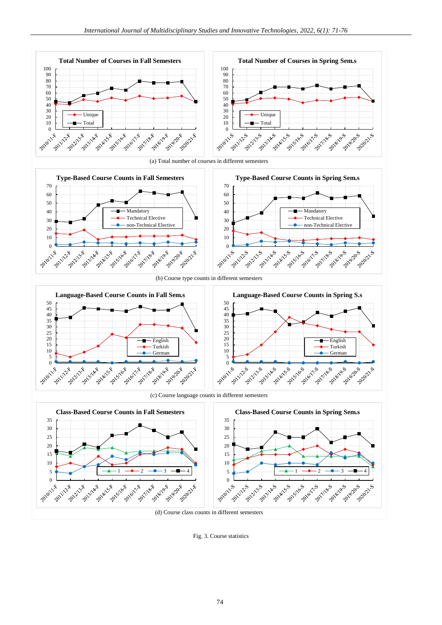





(b) Course type counts in different semesters



(c) Course language counts in different semesters



Fig. 3. Course statistics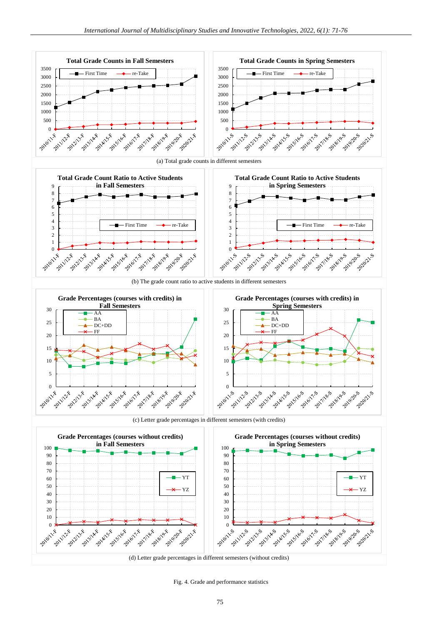

Fig. 4. Grade and performance statistics